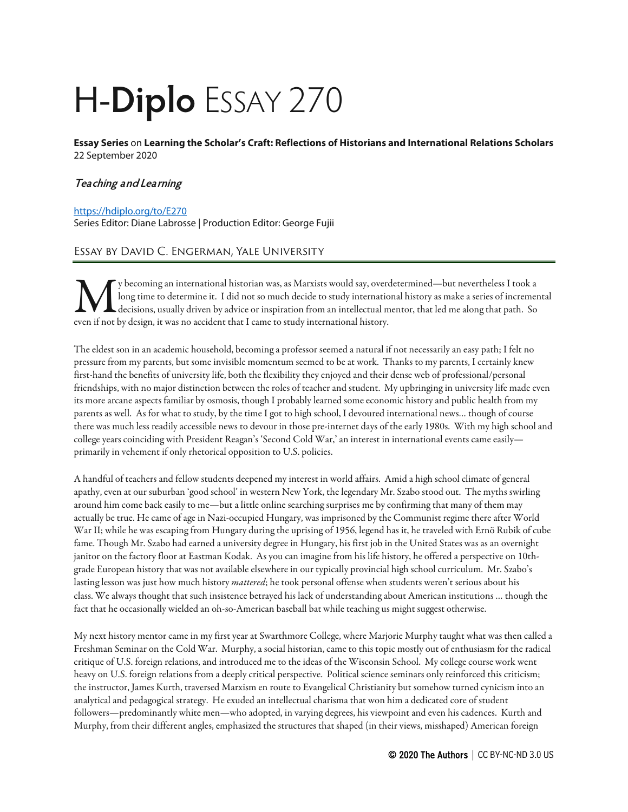## H-**Diplo** ESSAY 270

**Essay Series** on **Learning the Scholar's Craft: Reflections of Historians and International Relations Scholars**  22 September 2020

## **Teaching and Learning**

## <https://hdiplo.org/to/E270>

Series Editor: Diane Labrosse | Production Editor: George Fujii

## Essay by David C. Engerman, Yale University

y becoming an international historian was, as Marxists would say, overdetermined—but nevertheless I took a long time to determine it. I did not so much decide to study international history as make a series of incremental decisions, usually driven by advice or inspiration from an intellectual mentor, that led me along that path. So V becoming an international historian was, as Marxists would say, over<br>long time to determine it. I did not so much decide to study internation<br>even if not by design, it was no accident that I came to study international h

The eldest son in an academic household, becoming a professor seemed a natural if not necessarily an easy path; I felt no pressure from my parents, but some invisible momentum seemed to be at work. Thanks to my parents, I certainly knew first-hand the benefits of university life, both the flexibility they enjoyed and their dense web of professional/personal friendships, with no major distinction between the roles of teacher and student. My upbringing in university life made even its more arcane aspects familiar by osmosis, though I probably learned some economic history and public health from my parents as well. As for what to study, by the time I got to high school, I devoured international news… though of course there was much less readily accessible news to devour in those pre-internet days of the early 1980s. With my high school and college years coinciding with President Reagan's 'Second Cold War,'an interest in international events came easily primarily in vehement if only rhetorical opposition to U.S. policies.

A handful of teachers and fellow students deepened my interest in world affairs. Amid a high school climate of general apathy, even at our suburban 'good school' in western New York, the legendary Mr. Szabo stood out. The myths swirling around him come back easily to me—but a little online searching surprises me by confirming that many of them may actually be true. He came of age in Nazi-occupied Hungary, was imprisoned by the Communist regime there after World War II; while he was escaping from Hungary during the uprising of 1956, legend has it, he traveled with Ernö Rubik of cube fame. Though Mr. Szabo had earned a university degree in Hungary, his first job in the United States was as an overnight janitor on the factory floor at Eastman Kodak. As you can imagine from his life history, he offered a perspective on 10thgrade European history that was not available elsewhere in our typically provincial high school curriculum. Mr. Szabo's lasting lesson was just how much history *mattered*; he took personal offense when students weren't serious about his class. We always thought that such insistence betrayed his lack of understanding about American institutions … though the fact that he occasionally wielded an oh-so-American baseball bat while teaching us might suggest otherwise.

My next history mentor came in my first year at Swarthmore College, where Marjorie Murphy taught what was then called a Freshman Seminar on the Cold War. Murphy, a social historian, came to this topic mostly out of enthusiasm for the radical critique of U.S. foreign relations, and introduced me to the ideas of the Wisconsin School. My college course work went heavy on U.S. foreign relations from a deeply critical perspective. Political science seminars only reinforced this criticism; the instructor, James Kurth, traversed Marxism en route to Evangelical Christianity but somehow turned cynicism into an analytical and pedagogical strategy. He exuded an intellectual charisma that won him a dedicated core of student followers—predominantly white men—who adopted, in varying degrees, his viewpoint and even his cadences. Kurth and Murphy, from their different angles, emphasized the structures that shaped (in their views, misshaped) American foreign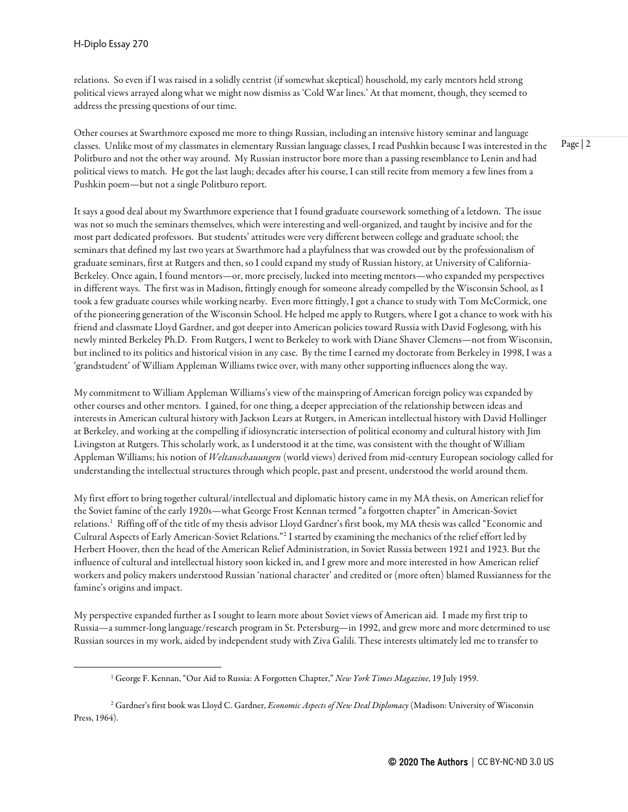relations. So even if I was raised in a solidly centrist (if somewhat skeptical) household, my early mentors held strong political views arrayed along what we might now dismiss as 'Cold War lines.' At that moment, though, they seemed to address the pressing questions of our time.

Other courses at Swarthmore exposed me more to things Russian, including an intensive history seminar and language classes. Unlike most of my classmates in elementary Russian language classes, I read Pushkin because I was interested in the Politburo and not the other way around. My Russian instructor bore more than a passing resemblance to Lenin and had political views to match. He got the last laugh; decades after his course, I can still recite from memory a few lines from a Pushkin poem—but not a single Politburo report.

It says a good deal about my Swarthmore experience that I found graduate coursework something of a letdown. The issue was not so much the seminars themselves, which were interesting and well-organized, and taught by incisive and for the most part dedicated professors. But students' attitudes were very different between college and graduate school; the seminars that defined my last two years at Swarthmore had a playfulness that was crowded out by the professionalism of graduate seminars, first at Rutgers and then, so I could expand my study of Russian history, at University of California-Berkeley. Once again, I found mentors—or, more precisely, lucked into meeting mentors—who expanded my perspectives in different ways. The first was in Madison, fittingly enough for someone already compelled by the Wisconsin School, as I took a few graduate courses while working nearby. Even more fittingly, I got a chance to study with Tom McCormick, one of the pioneering generation of the Wisconsin School. He helped me apply to Rutgers, where I got a chance to work with his friend and classmate Lloyd Gardner, and got deeper into American policies toward Russia with David Foglesong, with his newly minted Berkeley Ph.D. From Rutgers, I went to Berkeley to work with Diane Shaver Clemens—not from Wisconsin, but inclined to its politics and historical vision in any case. By the time I earned my doctorate from Berkeley in 1998, I was a 'grandstudent' of William Appleman Williams twice over, with many other supporting influences along the way.

My commitment to William Appleman Williams's view of the mainspring of American foreign policy was expanded by other courses and other mentors. I gained, for one thing, a deeper appreciation of the relationship between ideas and interests in American cultural history with Jackson Lears at Rutgers, in American intellectual history with David Hollinger at Berkeley, and working at thecompelling if idiosyncratic intersection of political economy and cultural history with Jim Livingston at Rutgers. This scholarly work, as I understood it at the time, was consistent with the thought of William Appleman Williams; his notion of *Weltanschauungen* (world views) derived from mid-century European sociology called for understanding the intellectual structures through which people, past and present, understood the world around them.

My first effort to bring together cultural/intellectual and diplomatic history came in my MA thesis, on American relief for the Soviet famine of the early 1920s—what George Frost Kennan termed "a forgotten chapter" in American-Soviet relations.[1](#page-1-0) Riffing off of the title of my thesis advisor Lloyd Gardner's first book, my MA thesis was called "Economic and Cultural Aspects of Early American-Soviet Relations."[2](#page-1-1) I started by examining the mechanics of the relief effort led by Herbert Hoover, then the head of the American Relief Administration, in Soviet Russia between 1921 and 1923. But the influence of cultural and intellectual history soon kicked in, and I grew more and more interested in how American relief workers and policy makers understood Russian 'national character'and credited or (more often) blamed Russianness for the famine's origins and impact.

My perspective expanded further as I sought to learn more about Soviet views of American aid. I made my first trip to Russia—a summer-long language/research program in St. Petersburg—in 1992, and grew more and more determined to use Russian sources in my work, aided by independent study with Ziva Galili. These interests ultimately led me to transfer to

<sup>1</sup> George F. Kennan, "Our Aid to Russia: A Forgotten Chapter," *New York Times Magazine*, 19 July 1959.

<span id="page-1-1"></span><span id="page-1-0"></span><sup>2</sup> Gardner's first book was Lloyd C. Gardner, *Economic Aspects of New Deal Diplomacy* (Madison: University of Wisconsin Press, 1964).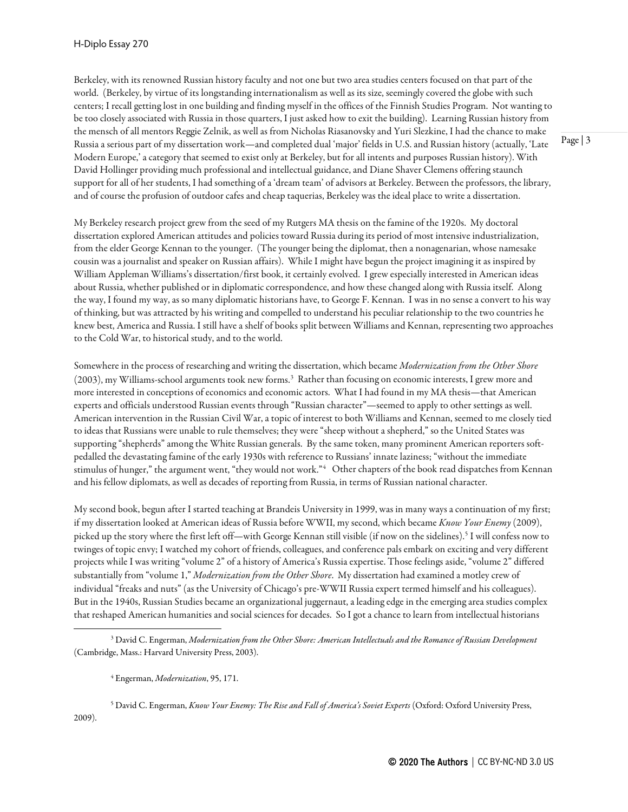Berkeley, with its renowned Russian history faculty and not one but two area studies centers focused on that part of the world. (Berkeley, by virtue of its longstanding internationalism as well as its size, seemingly covered the globe with such centers; I recall getting lost in one building and finding myself in the offices of the Finnish Studies Program. Not wanting to be too closely associated with Russia in those quarters, I just asked how to exit the building). Learning Russian history from the mensch of all mentors Reggie Zelnik, as well as from Nicholas Riasanovsky and Yuri Slezkine, I had the chance to make Russia a serious part of my dissertation work—and completed dual 'major' fields in U.S.and Russian history (actually, 'Late Modern Europe,'a category that seemed to exist only at Berkeley, but for all intents and purposes Russian history). With David Hollinger providing much professional and intellectual guidance, and Diane Shaver Clemens offering staunch support for all of her students, I had something of a 'dream team' of advisors at Berkeley. Between the professors, the library, and of course the profusion of outdoor cafes and cheap taquerias, Berkeley was the ideal place to write a dissertation.

My Berkeley research project grew from the seed of my Rutgers MA thesis on the famine of the 1920s. My doctoral dissertation explored American attitudes and policies toward Russia during its period of most intensive industrialization, from the elder George Kennan to the younger. (The younger being the diplomat, then a nonagenarian, whose namesake cousin was a journalist and speaker on Russian affairs). While I might have begun the project imagining it as inspired by William Appleman Williams's dissertation/first book, it certainly evolved. I grew especially interested in American ideas about Russia, whether published or in diplomatic correspondence, and how these changed along with Russia itself. Along the way, I found my way, as so many diplomatic historians have, to George F. Kennan. I was in no sense a convert to his way of thinking, but was attracted by his writing and compelled to understand his peculiar relationship to the two countries he knew best, America and Russia. I still have a shelf of books split between Williams and Kennan, representing two approaches to the Cold War, to historical study, and to the world.

Somewhere in the process of researching and writing the dissertation, which became *Modernization from the Other Shore* (2003), my Williams-school arguments took new forms.<sup>3</sup> Rather than focusing on economic interests, I grew more and more interested in conceptions of economics and economic actors. What I had found in my MA thesis—that American experts and officials understood Russian events through "Russian character"—seemed to apply to other settings as well. American intervention in the Russian Civil War, a topic of interest to both Williams and Kennan, seemed to me closely tied to ideas that Russians were unable to rule themselves; they were "sheep without a shepherd," so the United States was supporting "shepherds" among the White Russian generals. By the same token, many prominent American reporters softpedalled the devastating famine of the early 1930s with reference to Russians' innate laziness; "without the immediate stimulus of hunger," the argument went, "they would not work."[4](#page-2-1) Other chapters of the book read dispatches from Kennan and his fellow diplomats, as well as decades of reporting from Russia, in terms of Russian national character.

My second book, begun after I started teaching at Brandeis University in 1999, was in many ways a continuation of my first; if my dissertation looked at American ideas of Russia before WWII, my second, which became *Know Your Enemy*(2009), picked up the story where the first left off—with George Kennan still visible (if now on the sidelines).[5](#page-2-2) I will confess now to twinges of topic envy; I watched my cohort of friends, colleagues, and conference pals embark on exciting and very different projects while I was writing "volume 2" of a history of America's Russia expertise. Those feelings aside, "volume 2" differed substantially from "volume 1," *Modernization from the Other Shore*. My dissertation had examined a motley crew of individual "freaks and nuts" (as the University of Chicago's pre-WWII Russia expert termed himself and his colleagues). But in the 1940s, Russian Studies became an organizational juggernaut, a leading edge in the emerging area studies complex that reshaped American humanities and social sciences for decades. So I got a chance to learn from intellectual historians

<span id="page-2-2"></span><span id="page-2-1"></span><sup>5</sup> David C. Engerman, *Know Your Enemy: The Rise and Fall of America's Soviet Experts* (Oxford: Oxford University Press, 2009).

<span id="page-2-0"></span><sup>3</sup> David C. Engerman, *Modernization from the Other Shore: American Intellectuals and the Romance of Russian Development*  (Cambridge, Mass.: Harvard University Press, 2003).

<sup>4</sup> Engerman, *Modernization*, 95, 171.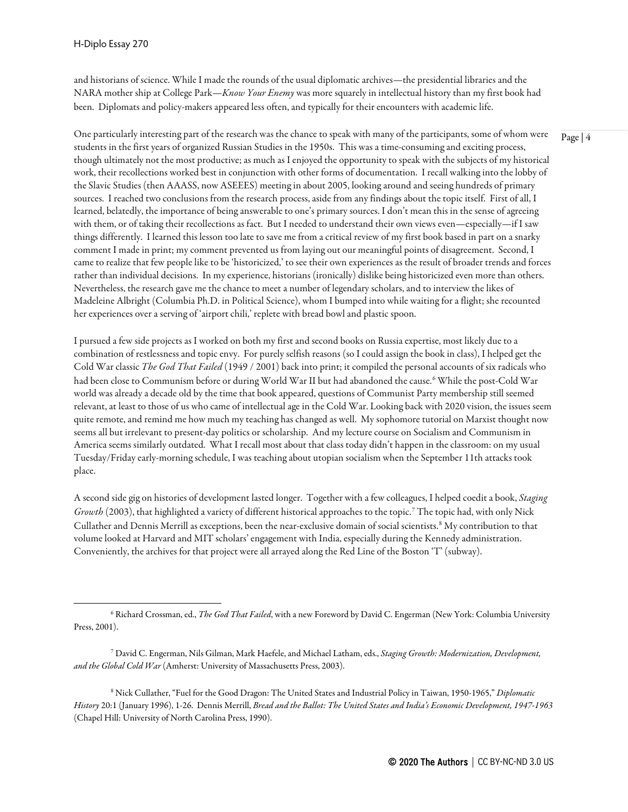and historians of science. While I made the rounds of the usual diplomatic archives—the presidential libraries and the NARA mother ship at College Park—*Know Your Enemy* was more squarely in intellectual history than my first book had been. Diplomats and policy-makers appeared less often, and typically for their encounters with academic life.

One particularly interesting part of the research was the chance to speak with many of the participants, some of whom were students in the first years of organized Russian Studies in the 1950s. This was a time-consuming and exciting process, though ultimately not the most productive; as much as I enjoyed the opportunity to speak with the subjects of my historical work, their recollections worked best in conjunction with other forms of documentation. I recall walking into the lobby of the Slavic Studies (then AAASS, now ASEEES) meeting in about 2005, looking around and seeing hundreds of primary sources. I reached two conclusions from the research process, aside from any findings about the topic itself. First of all, I learned, belatedly, the importance of being answerable to one's primary sources. I don't mean this in the sense of agreeing with them, or of taking their recollections as fact. But I needed to understand their own views even—especially—if I saw things differently. I learned this lesson too late to save me from a critical review of my first book based in part on a snarky comment I made in print; my comment prevented us from laying out our meaningful points of disagreement. Second, I came to realize that few people like to be 'historicized,' to see their own experiences as the result of broader trends and forces rather than individual decisions. In my experience, historians (ironically) dislike being historicized even more than others. Nevertheless, the research gave me the chance to meet a number of legendary scholars, and to interview the likes of Madeleine Albright (Columbia Ph.D. in Political Science), whom I bumped into while waiting for a flight; she recounted her experiences over a serving of 'airport chili,' replete with bread bowl and plastic spoon.

I pursued a few side projects as I worked on both my first and second books on Russia expertise, most likely due to a combination of restlessness and topic envy. For purely selfish reasons (so I could assign the book in class), I helped get the Cold War classic *The God That Failed* (1949 / 2001) back into print; it compiled the personal accounts of six radicals who had been close to Communism before or during World War II but had abandoned the cause.<sup>[6](#page-3-0)</sup> While the post-Cold War world was already a decade old by the time that book appeared, questions of Communist Party membership still seemed relevant, at least to those of us who came of intellectual age in the Cold War. Looking back with 2020 vision, the issues seem quite remote, and remind me how much my teaching has changed as well. My sophomore tutorial on Marxist thought now seems all but irrelevant to present-day politics or scholarship. And my lecture course on Socialism and Communism in America seems similarly outdated. What I recall most about that class today didn't happen in the classroom: on my usual Tuesday/Friday early-morning schedule, I was teaching about utopian socialism when the September 11th attacks took place.

A second side gig on histories of development lasted longer. Together with a few colleagues, I helped coedit a book, *Staging Growth* (2003), that highlighted a variety of different historical approaches to the topic.[7](#page-3-1) The topic had, with only Nick Cullather and Dennis Merrill as exceptions, been the near-exclusive domain of social scientists.[8](#page-3-2) My contribution to that volume looked at Harvard and MIT scholars' engagement with India, especially during the Kennedy administration. Conveniently, the archives for that project were all arrayed along the Red Line of the Boston 'T' (subway).

<span id="page-3-0"></span><sup>6</sup> Richard Crossman, ed., *The God That Failed*, with a new Foreword by David C. Engerman (New York: Columbia University Press, 2001).

<span id="page-3-1"></span><sup>7</sup> David C. Engerman, Nils Gilman, Mark Haefele, and Michael Latham, eds., *Staging Growth: Modernization, Development, and the Global Cold War* (Amherst: University of Massachusetts Press, 2003).

<span id="page-3-2"></span><sup>8</sup> Nick Cullather, "Fuel for the Good Dragon: The United States and Industrial Policy in Taiwan, 1950-1965," *Diplomatic History* 20:1 (January 1996), 1-26. Dennis Merrill, *Bread and the Ballot: The United States and India's Economic Development, 1947-1963* (Chapel Hill: University of North Carolina Press, 1990).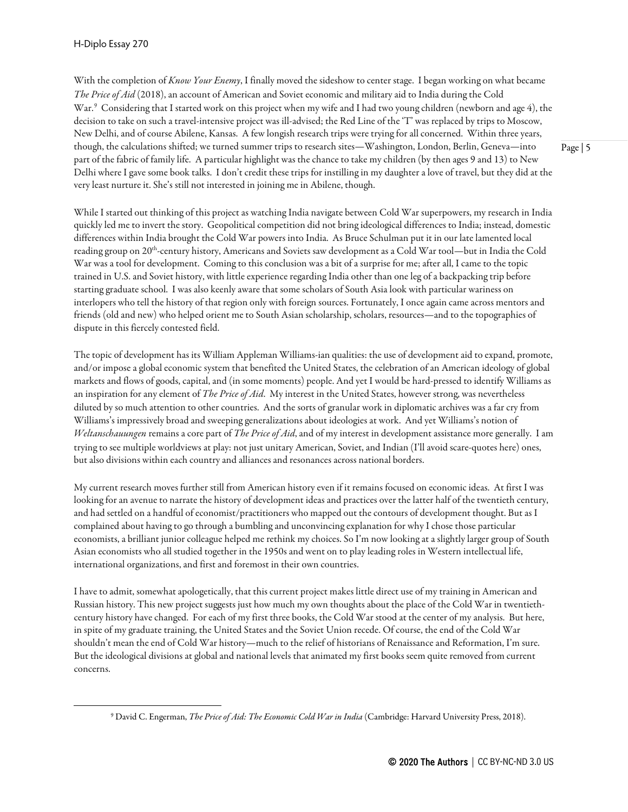With the completion of *Know Your Enemy*, I finally moved the sideshow to center stage. I began working on what became *The Price of Aid* (2018), an account of American and Soviet economic and military aid to India during the Cold War.<sup>[9](#page-4-0)</sup> Considering that I started work on this project when my wife and I had two young children (newborn and age 4), the decision to take on such a travel-intensive project was ill-advised; the Red Line of the'T' was replaced by trips to Moscow, New Delhi, and of course Abilene, Kansas. A few longish research trips were trying for all concerned. Within three years, though, the calculations shifted; we turned summer trips to research sites—Washington, London, Berlin, Geneva—into part of the fabric of family life. A particular highlight was the chance to take my children (by then ages 9 and 13) to New Delhi where I gave some book talks. I don't credit these trips for instilling in my daughter a love of travel, but they did at the very least nurture it. She's still not interested in joining me in Abilene, though.

While I started out thinking of this project as watching India navigate between Cold War superpowers, my research in India quickly led me to invert the story. Geopolitical competition did not bring ideological differences to India; instead, domestic differences within India brought the Cold War powers into India. As Bruce Schulman put it in our late lamented local reading group on 20th-century history, Americans and Soviets saw development as a Cold War tool—but in India the Cold War was a tool for development. Coming to this conclusion was a bit of a surprise for me; after all, I came to the topic trained in U.S.and Soviet history, with little experience regarding India other than one leg of a backpacking trip before starting graduate school. I was also keenly aware that some scholars of South Asia look with particular wariness on interlopers who tell the history of that region only with foreign sources. Fortunately, I once again came across mentors and friends (old and new) who helped orient me to South Asian scholarship, scholars, resources—and to the topographies of dispute in this fiercely contested field.

The topic of development has its William Appleman Williams-ian qualities: the use of development aid to expand, promote, and/or impose a global economic system that benefited the United States, the celebration of an American ideology of global markets and flows of goods, capital, and (in some moments) people. And yet I would be hard-pressed to identify Williams as an inspiration for any element of *The Price of Aid*. My interest in the United States, however strong, was nevertheless diluted by so much attention to other countries. And the sorts of granular work in diplomatic archives was a far cry from Williams's impressively broad and sweeping generalizations about ideologies at work. And yet Williams's notion of *Weltanschauungen* remains a core part of *The Price of Aid*, and of my interest in development assistance more generally. I am trying to see multiple worldviews at play: not just unitary American, Soviet, and Indian (I'll avoid scare-quotes here) ones, but also divisions within each country and alliances and resonances across national borders.

My current research moves further still from American history even if it remains focused on economic ideas. At first I was looking for an avenue to narrate the history of development ideas and practices over the latter half of the twentieth century, and had settled on a handful of economist/practitioners who mapped out the contours of development thought. But as I complained about having to go through a bumbling and unconvincing explanation for why I chose those particular economists, a brilliant junior colleague helped me rethink my choices. So I'm now looking at a slightly larger group of South Asian economists who all studied together in the 1950s and went on to play leading roles in Western intellectual life, international organizations, and first and foremost in their own countries.

I have to admit, somewhat apologetically, that this current project makes little direct use of my training in American and Russian history. This new project suggests just how much my own thoughts about the place of the Cold War in twentiethcentury history havechanged. For each of my first three books, the Cold War stood at the center of my analysis. But here, in spite of my graduate training, the United States and the Soviet Union recede. Of course, the end of the Cold War shouldn't mean the end of Cold War history—much to the relief of historians of Renaissance and Reformation, I'm sure. But the ideological divisions at global and national levels that animated my first books seem quite removed from current concerns.

<span id="page-4-0"></span><sup>9</sup> David C. Engerman, *The Price of Aid: The Economic Cold War in India* (Cambridge: Harvard University Press, 2018).